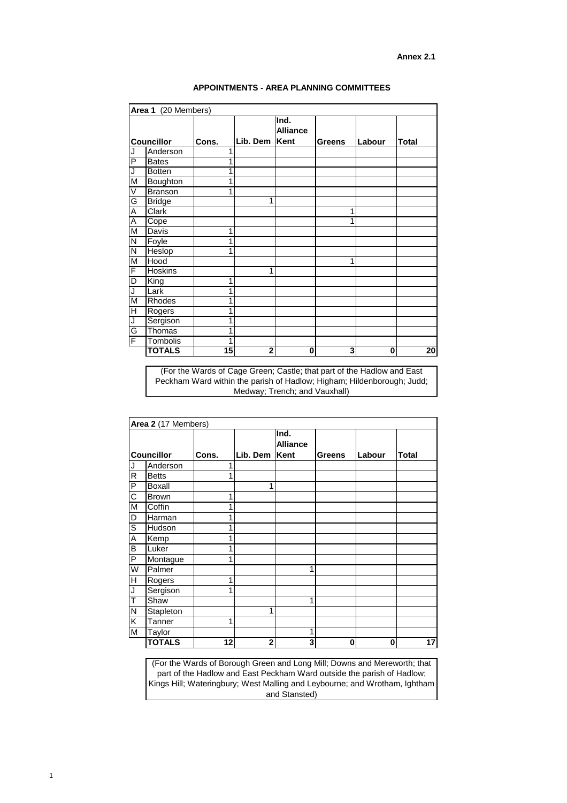(For the Wards of Cage Green; Castle; that part of the Hadlow and East Peckham Ward within the parish of Hadlow; Higham; Hildenborough; Judd; Medway; Trench; and Vauxhall)

| Area 2 (17 Members) |               |       |                |                         |               |        |              |
|---------------------|---------------|-------|----------------|-------------------------|---------------|--------|--------------|
| <b>Councillor</b>   |               | Cons. | Lib. Dem  Kent | Ind.<br><b>Alliance</b> | <b>Greens</b> | Labour | <b>Total</b> |
| J                   | Anderson      |       |                |                         |               |        |              |
| $\mathsf{R}$        | <b>Betts</b>  |       |                |                         |               |        |              |
| $\mathsf{P}$        | <b>Boxall</b> |       | 4              |                         |               |        |              |
| $\mathsf C$         | <b>Brown</b>  | 4     |                |                         |               |        |              |
| M                   | Coffin        |       |                |                         |               |        |              |
| D                   | Harman        | 4     |                |                         |               |        |              |
| $\mathsf S$         | Hudson        | 4     |                |                         |               |        |              |
| A                   | Kemp          |       |                |                         |               |        |              |
| B                   | Luker         |       |                |                         |               |        |              |
| ${\sf P}$           | Montague      |       |                |                         |               |        |              |
| W                   | Palmer        |       |                | 4                       |               |        |              |
| H                   | Rogers        |       |                |                         |               |        |              |
| J                   | Sergison      |       |                |                         |               |        |              |
| T                   | Shaw          |       |                | 4                       |               |        |              |
| N                   | Stapleton     |       | 4              |                         |               |        |              |

| ∕ا ا | $\tau$ anner       |   |     |    |  |
|------|--------------------|---|-----|----|--|
| M    | <sup>-</sup> aylor |   |     |    |  |
|      | <b>TOTALS</b>      | ◠ | . . | I. |  |

|                            | Area 1 (20 Members) |          |                                 |                  |        |              |    |
|----------------------------|---------------------|----------|---------------------------------|------------------|--------|--------------|----|
| <b>Councillor</b><br>Cons. |                     | Lib. Dem | Ind.<br><b>Alliance</b><br>Kent | <b>Greens</b>    | Labour | <b>Total</b> |    |
| J                          | Anderson            | 1        |                                 |                  |        |              |    |
| P                          | <b>Bates</b>        | 1        |                                 |                  |        |              |    |
| J                          | <b>Botten</b>       | 1        |                                 |                  |        |              |    |
| $\overline{\mathsf{M}}$    | <b>Boughton</b>     | 1        |                                 |                  |        |              |    |
| V                          | <b>Branson</b>      | 1        |                                 |                  |        |              |    |
| G                          | <b>Bridge</b>       |          | 1                               |                  |        |              |    |
| $\overline{\mathsf{A}}$    | <b>Clark</b>        |          |                                 |                  | 1      |              |    |
| A                          | Cope                |          |                                 |                  | 1      |              |    |
| M                          | Davis               | 1        |                                 |                  |        |              |    |
| ${\sf N}$                  | Foyle               | 1        |                                 |                  |        |              |    |
| $\overline{\mathsf{N}}$    | Heslop              | 1        |                                 |                  |        |              |    |
| M                          | Hood                |          |                                 |                  |        |              |    |
| F                          | <b>Hoskins</b>      |          | 1                               |                  |        |              |    |
| D                          | King                | 1        |                                 |                  |        |              |    |
| J                          | Lark                | 1        |                                 |                  |        |              |    |
| M                          | <b>Rhodes</b>       | 1        |                                 |                  |        |              |    |
| $\overline{\mathsf{H}}$    | Rogers              | 1        |                                 |                  |        |              |    |
| $\overline{\mathsf{J}}$    | Sergison            | 1        |                                 |                  |        |              |    |
| G                          | Thomas              | 1        |                                 |                  |        |              |    |
| F                          | Tombolis            | 1        |                                 |                  |        |              |    |
|                            | <b>TOTALS</b>       | 15       | $\overline{\mathbf{2}}$         | $\boldsymbol{0}$ | 3      | 0            | 20 |

(For the Wards of Borough Green and Long Mill; Downs and Mereworth; that part of the Hadlow and East Peckham Ward outside the parish of Hadlow; Kings Hill; Wateringbury; West Malling and Leybourne; and Wrotham, Ightham and Stansted)

**Annex 2.1**

## **APPOINTMENTS - AREA PLANNING COMMITTEES**

1